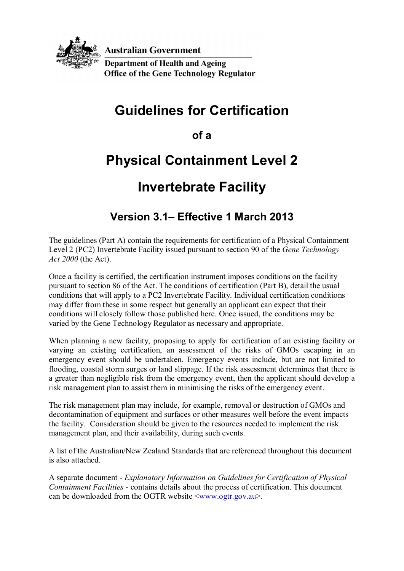

**Australian Government** 

**Department of Health and Ageing Office of the Gene Technology Regulator** 

# **Guidelines for Certification**

**of a** 

# **Physical Containment Level 2**

# **Invertebrate Facility**

## **Version 3.1– Effective 1 March 2013**

The guidelines (Part A) contain the requirements for certification of a Physical Containment Level 2 (PC2) Invertebrate Facility issued pursuant to section 90 of the *Gene Technology Act 2000* (the Act).

Once a facility is certified, the certification instrument imposes conditions on the facility pursuant to section 86 of the Act. The conditions of certification (Part B), detail the usual conditions that will apply to a PC2 Invertebrate Facility. Individual certification conditions may differ from these in some respect but generally an applicant can expect that their conditions will closely follow those published here. Once issued, the conditions may be varied by the Gene Technology Regulator as necessary and appropriate.

When planning a new facility, proposing to apply for certification of an existing facility or varying an existing certification, an assessment of the risks of GMOs escaping in an emergency event should be undertaken. Emergency events include, but are not limited to flooding, coastal storm surges or land slippage. If the risk assessment determines that there is a greater than negligible risk from the emergency event, then the applicant should develop a risk management plan to assist them in minimising the risks of the emergency event.

The risk management plan may include, for example, removal or destruction of GMOs and decontamination of equipment and surfaces or other measures well before the event impacts the facility. Consideration should be given to the resources needed to implement the risk management plan, and their availability, during such events.

A list of the Australian/New Zealand Standards that are referenced throughout this document is also attached.

A separate document - *Explanatory Information on Guidelines for Certification of Physical Containment Facilities* - contains details about the process of certification. This document can be downloaded from the OGTR website  $\langle$ www.ogtr.gov.au $\rangle$ .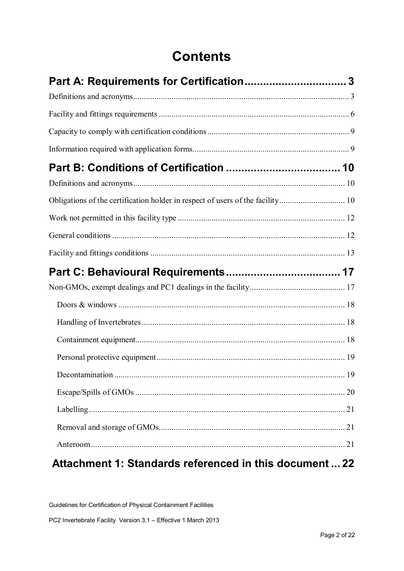# **Contents**

| Obligations of the certification holder in respect of users of the facility 10 |    |
|--------------------------------------------------------------------------------|----|
|                                                                                |    |
|                                                                                |    |
|                                                                                |    |
|                                                                                |    |
|                                                                                |    |
|                                                                                |    |
|                                                                                |    |
|                                                                                |    |
|                                                                                |    |
|                                                                                |    |
|                                                                                | 19 |
|                                                                                |    |
|                                                                                |    |
|                                                                                |    |
|                                                                                |    |

### **Attachment 1: Standards referenced in this document ... 22**

Guidelines for Certification of Physical Containment Facilities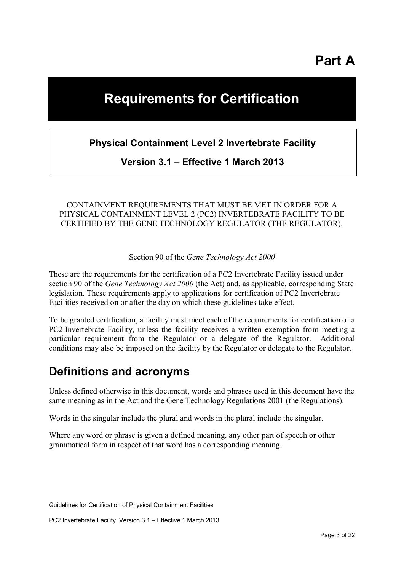**Part A** 

# **Requirements for Certification**

### **Physical Containment Level 2 Invertebrate Facility**

**Version 3.1 – Effective 1 March 2013**

#### CONTAINMENT REQUIREMENTS THAT MUST BE MET IN ORDER FOR A PHYSICAL CONTAINMENT LEVEL 2 (PC2) INVERTEBRATE FACILITY TO BE CERTIFIED BY THE GENE TECHNOLOGY REGULATOR (THE REGULATOR).

Section 90 of the *Gene Technology Act 2000*

These are the requirements for the certification of a PC2 Invertebrate Facility issued under section 90 of the *Gene Technology Act 2000* (the Act) and, as applicable, corresponding State legislation. These requirements apply to applications for certification of PC2 Invertebrate Facilities received on or after the day on which these guidelines take effect.

To be granted certification, a facility must meet each of the requirements for certification of a PC2 Invertebrate Facility, unless the facility receives a written exemption from meeting a particular requirement from the Regulator or a delegate of the Regulator. Additional conditions may also be imposed on the facility by the Regulator or delegate to the Regulator.

### **Definitions and acronyms**

Unless defined otherwise in this document, words and phrases used in this document have the same meaning as in the Act and the Gene Technology Regulations 2001 (the Regulations).

Words in the singular include the plural and words in the plural include the singular.

Where any word or phrase is given a defined meaning, any other part of speech or other grammatical form in respect of that word has a corresponding meaning.

Guidelines for Certification of Physical Containment Facilities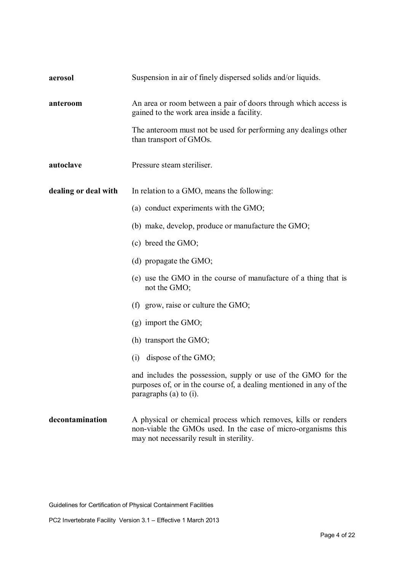| aerosol              | Suspension in air of finely dispersed solids and/or liquids.                                                                                                                |
|----------------------|-----------------------------------------------------------------------------------------------------------------------------------------------------------------------------|
| anteroom             | An area or room between a pair of doors through which access is<br>gained to the work area inside a facility.                                                               |
|                      | The anteroom must not be used for performing any dealings other<br>than transport of GMOs.                                                                                  |
| autoclave            | Pressure steam steriliser.                                                                                                                                                  |
| dealing or deal with | In relation to a GMO, means the following:                                                                                                                                  |
|                      | (a) conduct experiments with the GMO;                                                                                                                                       |
|                      | (b) make, develop, produce or manufacture the GMO;                                                                                                                          |
|                      | (c) breed the GMO;                                                                                                                                                          |
|                      | (d) propagate the $GMO$ ;                                                                                                                                                   |
|                      | (e) use the GMO in the course of manufacture of a thing that is<br>not the GMO;                                                                                             |
|                      | (f) grow, raise or culture the $GMO$ ;                                                                                                                                      |
|                      | $(g)$ import the GMO;                                                                                                                                                       |
|                      | (h) transport the GMO;                                                                                                                                                      |
|                      | $(i)$ dispose of the GMO;                                                                                                                                                   |
|                      | and includes the possession, supply or use of the GMO for the<br>purposes of, or in the course of, a dealing mentioned in any of the<br>paragraphs (a) to $(i)$ .           |
| decontamination      | A physical or chemical process which removes, kills or renders<br>non-viable the GMOs used. In the case of micro-organisms this<br>may not necessarily result in sterility. |

Guidelines for Certification of Physical Containment Facilities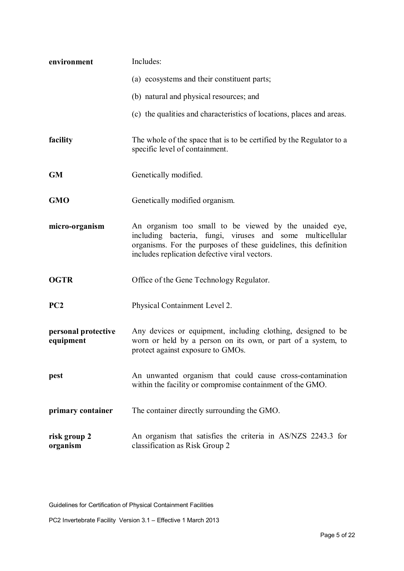| environment                      | Includes:                                                                                                                                                                                                                                   |
|----------------------------------|---------------------------------------------------------------------------------------------------------------------------------------------------------------------------------------------------------------------------------------------|
|                                  | (a) ecosystems and their constituent parts;                                                                                                                                                                                                 |
|                                  | (b) natural and physical resources; and                                                                                                                                                                                                     |
|                                  | (c) the qualities and characteristics of locations, places and areas.                                                                                                                                                                       |
| facility                         | The whole of the space that is to be certified by the Regulator to a<br>specific level of containment.                                                                                                                                      |
| <b>GM</b>                        | Genetically modified.                                                                                                                                                                                                                       |
| <b>GMO</b>                       | Genetically modified organism.                                                                                                                                                                                                              |
| micro-organism                   | An organism too small to be viewed by the unaided eye,<br>including bacteria, fungi, viruses and some<br>multicellular<br>organisms. For the purposes of these guidelines, this definition<br>includes replication defective viral vectors. |
| <b>OGTR</b>                      | Office of the Gene Technology Regulator.                                                                                                                                                                                                    |
| PC2                              | Physical Containment Level 2.                                                                                                                                                                                                               |
| personal protective<br>equipment | Any devices or equipment, including clothing, designed to be<br>worn or held by a person on its own, or part of a system, to<br>protect against exposure to GMOs.                                                                           |
| pest                             | An unwanted organism that could cause cross-contamination<br>within the facility or compromise containment of the GMO.                                                                                                                      |
| primary container                | The container directly surrounding the GMO.                                                                                                                                                                                                 |
| risk group 2<br>organism         | An organism that satisfies the criteria in AS/NZS 2243.3 for<br>classification as Risk Group 2                                                                                                                                              |

Guidelines for Certification of Physical Containment Facilities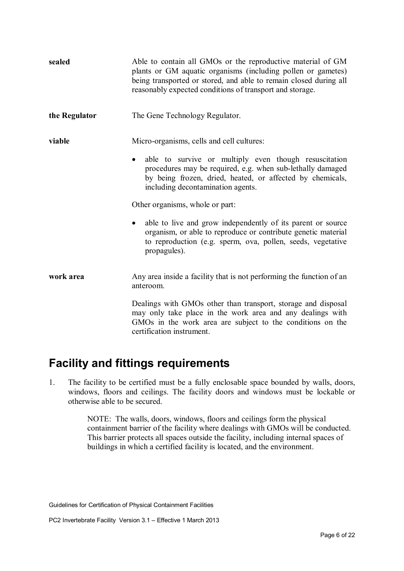| sealed        | Able to contain all GMOs or the reproductive material of GM<br>plants or GM aquatic organisms (including pollen or gametes)<br>being transported or stored, and able to remain closed during all<br>reasonably expected conditions of transport and storage. |
|---------------|--------------------------------------------------------------------------------------------------------------------------------------------------------------------------------------------------------------------------------------------------------------|
| the Regulator | The Gene Technology Regulator.                                                                                                                                                                                                                               |
| viable        | Micro-organisms, cells and cell cultures:                                                                                                                                                                                                                    |
|               | able to survive or multiply even though resuscitation<br>$\bullet$<br>procedures may be required, e.g. when sub-lethally damaged<br>by being frozen, dried, heated, or affected by chemicals,<br>including decontamination agents.                           |
|               | Other organisms, whole or part:                                                                                                                                                                                                                              |
|               | able to live and grow independently of its parent or source<br>$\bullet$<br>organism, or able to reproduce or contribute genetic material<br>to reproduction (e.g. sperm, ova, pollen, seeds, vegetative<br>propagules).                                     |
| work area     | Any area inside a facility that is not performing the function of an<br>anteroom.                                                                                                                                                                            |
|               | Dealings with GMOs other than transport, storage and disposal<br>may only take place in the work area and any dealings with<br>GMOs in the work area are subject to the conditions on the                                                                    |

## **Facility and fittings requirements**

certification instrument.

1. The facility to be certified must be a fully enclosable space bounded by walls, doors, windows, floors and ceilings. The facility doors and windows must be lockable or otherwise able to be secured.

> NOTE: The walls, doors, windows, floors and ceilings form the physical containment barrier of the facility where dealings with GMOs will be conducted. This barrier protects all spaces outside the facility, including internal spaces of buildings in which a certified facility is located, and the environment.

Guidelines for Certification of Physical Containment Facilities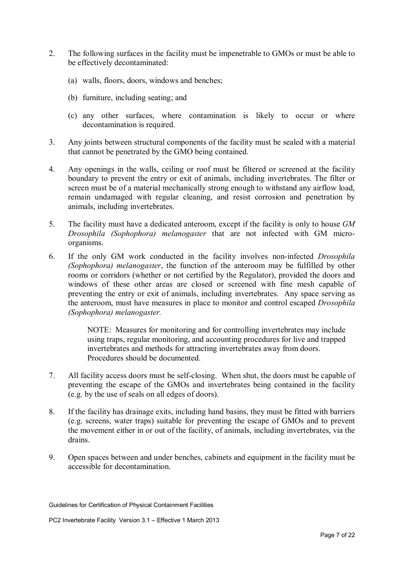- 2. The following surfaces in the facility must be impenetrable to GMOs or must be able to be effectively decontaminated:
	- (a) walls, floors, doors, windows and benches;
	- (b) furniture, including seating; and
	- (c) any other surfaces, where contamination is likely to occur or where decontamination is required.
- 3. Any joints between structural components of the facility must be sealed with a material that cannot be penetrated by the GMO being contained.
- 4. Any openings in the walls, ceiling or roof must be filtered or screened at the facility boundary to prevent the entry or exit of animals, including invertebrates. The filter or screen must be of a material mechanically strong enough to withstand any airflow load, remain undamaged with regular cleaning, and resist corrosion and penetration by animals, including invertebrates.
- 5. The facility must have a dedicated anteroom, except if the facility is only to house *GM Drosophila (Sophophora) melanogaster* that are not infected with GM microorganisms.
- 6. If the only GM work conducted in the facility involves non-infected *Drosophila (Sophophora) melanogaster*, the function of the anteroom may be fulfilled by other rooms or corridors (whether or not certified by the Regulator), provided the doors and windows of these other areas are closed or screened with fine mesh capable of preventing the entry or exit of animals, including invertebrates. Any space serving as the anteroom, must have measures in place to monitor and control escaped *Drosophila (Sophophora) melanogaster.*

NOTE: Measures for monitoring and for controlling invertebrates may include using traps, regular monitoring, and accounting procedures for live and trapped invertebrates and methods for attracting invertebrates away from doors. Procedures should be documented.

- 7. All facility access doors must be self-closing. When shut, the doors must be capable of preventing the escape of the GMOs and invertebrates being contained in the facility (e.g. by the use of seals on all edges of doors).
- 8. If the facility has drainage exits, including hand basins, they must be fitted with barriers (e.g. screens, water traps) suitable for preventing the escape of GMOs and to prevent the movement either in or out of the facility, of animals, including invertebrates, via the drains.
- 9. Open spaces between and under benches, cabinets and equipment in the facility must be accessible for decontamination.

Guidelines for Certification of Physical Containment Facilities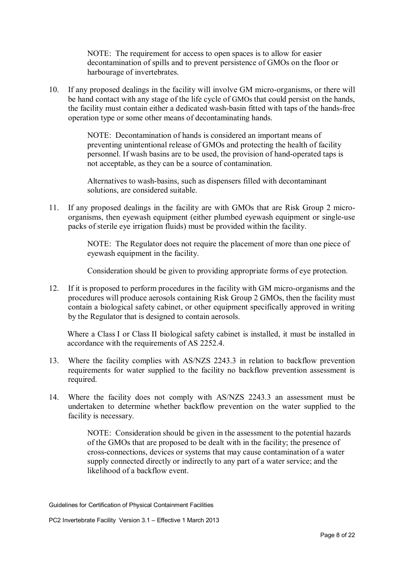NOTE: The requirement for access to open spaces is to allow for easier decontamination of spills and to prevent persistence of GMOs on the floor or harbourage of invertebrates.

10. If any proposed dealings in the facility will involve GM micro-organisms, or there will be hand contact with any stage of the life cycle of GMOs that could persist on the hands, the facility must contain either a dedicated wash-basin fitted with taps of the hands-free operation type or some other means of decontaminating hands.

> NOTE: Decontamination of hands is considered an important means of preventing unintentional release of GMOs and protecting the health of facility personnel. If wash basins are to be used, the provision of hand-operated taps is not acceptable, as they can be a source of contamination.

Alternatives to wash-basins, such as dispensers filled with decontaminant solutions, are considered suitable.

11. If any proposed dealings in the facility are with GMOs that are Risk Group 2 microorganisms, then eyewash equipment (either plumbed eyewash equipment or single-use packs of sterile eye irrigation fluids) must be provided within the facility.

> NOTE: The Regulator does not require the placement of more than one piece of eyewash equipment in the facility.

> Consideration should be given to providing appropriate forms of eye protection.

12. If it is proposed to perform procedures in the facility with GM micro-organisms and the procedures will produce aerosols containing Risk Group 2 GMOs, then the facility must contain a biological safety cabinet, or other equipment specifically approved in writing by the Regulator that is designed to contain aerosols.

Where a Class I or Class II biological safety cabinet is installed, it must be installed in accordance with the requirements of AS 2252.4.

- 13. Where the facility complies with AS/NZS 2243.3 in relation to backflow prevention requirements for water supplied to the facility no backflow prevention assessment is required.
- 14. Where the facility does not comply with AS/NZS 2243.3 an assessment must be undertaken to determine whether backflow prevention on the water supplied to the facility is necessary.

NOTE: Consideration should be given in the assessment to the potential hazards of the GMOs that are proposed to be dealt with in the facility; the presence of cross-connections, devices or systems that may cause contamination of a water supply connected directly or indirectly to any part of a water service; and the likelihood of a backflow event.

Guidelines for Certification of Physical Containment Facilities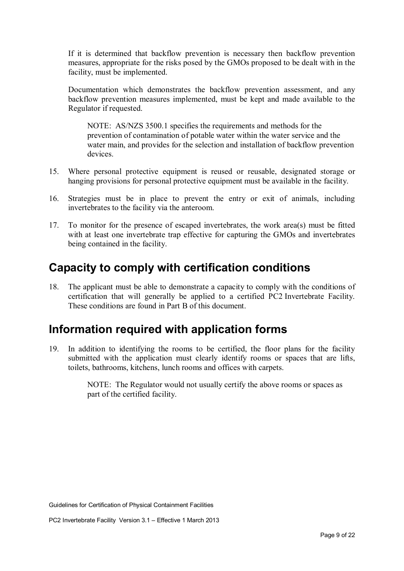If it is determined that backflow prevention is necessary then backflow prevention measures, appropriate for the risks posed by the GMOs proposed to be dealt with in the facility, must be implemented.

Documentation which demonstrates the backflow prevention assessment, and any backflow prevention measures implemented, must be kept and made available to the Regulator if requested.

NOTE: AS/NZS 3500.1 specifies the requirements and methods for the prevention of contamination of potable water within the water service and the water main, and provides for the selection and installation of backflow prevention devices.

- 15. Where personal protective equipment is reused or reusable, designated storage or hanging provisions for personal protective equipment must be available in the facility.
- 16. Strategies must be in place to prevent the entry or exit of animals, including invertebrates to the facility via the anteroom.
- 17. To monitor for the presence of escaped invertebrates, the work area(s) must be fitted with at least one invertebrate trap effective for capturing the GMOs and invertebrates being contained in the facility.

### **Capacity to comply with certification conditions**

18. The applicant must be able to demonstrate a capacity to comply with the conditions of certification that will generally be applied to a certified PC2 Invertebrate Facility. These conditions are found in Part B of this document.

## **Information required with application forms**

19. In addition to identifying the rooms to be certified, the floor plans for the facility submitted with the application must clearly identify rooms or spaces that are lifts, toilets, bathrooms, kitchens, lunch rooms and offices with carpets.

> NOTE: The Regulator would not usually certify the above rooms or spaces as part of the certified facility.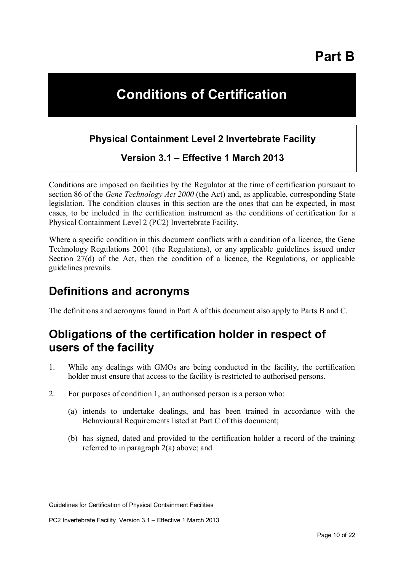# **Conditions of Certification**

### **Physical Containment Level 2 Invertebrate Facility**

### **Version 3.1 – Effective 1 March 2013**

Conditions are imposed on facilities by the Regulator at the time of certification pursuant to section 86 of the *Gene Technology Act 2000* (the Act) and, as applicable, corresponding State legislation. The condition clauses in this section are the ones that can be expected, in most cases, to be included in the certification instrument as the conditions of certification for a Physical Containment Level 2 (PC2) Invertebrate Facility.

Where a specific condition in this document conflicts with a condition of a licence, the Gene Technology Regulations 2001 (the Regulations), or any applicable guidelines issued under Section 27(d) of the Act, then the condition of a licence, the Regulations, or applicable guidelines prevails.

### **Definitions and acronyms**

The definitions and acronyms found in Part A of this document also apply to Parts B and C.

## **Obligations of the certification holder in respect of users of the facility**

- 1. While any dealings with GMOs are being conducted in the facility, the certification holder must ensure that access to the facility is restricted to authorised persons.
- 2. For purposes of condition 1, an authorised person is a person who:
	- (a) intends to undertake dealings, and has been trained in accordance with the Behavioural Requirements listed at Part C of this document;
	- (b) has signed, dated and provided to the certification holder a record of the training referred to in paragraph 2(a) above; and

Guidelines for Certification of Physical Containment Facilities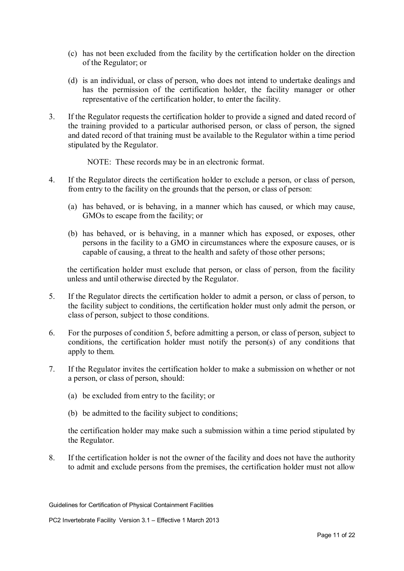- (c) has not been excluded from the facility by the certification holder on the direction of the Regulator; or
- (d) is an individual, or class of person, who does not intend to undertake dealings and has the permission of the certification holder, the facility manager or other representative of the certification holder, to enter the facility.
- 3. If the Regulator requests the certification holder to provide a signed and dated record of the training provided to a particular authorised person, or class of person, the signed and dated record of that training must be available to the Regulator within a time period stipulated by the Regulator.
	- NOTE: These records may be in an electronic format.
- 4. If the Regulator directs the certification holder to exclude a person, or class of person, from entry to the facility on the grounds that the person, or class of person:
	- (a) has behaved, or is behaving, in a manner which has caused, or which may cause, GMOs to escape from the facility; or
	- (b) has behaved, or is behaving, in a manner which has exposed, or exposes, other persons in the facility to a GMO in circumstances where the exposure causes, or is capable of causing, a threat to the health and safety of those other persons;

the certification holder must exclude that person, or class of person, from the facility unless and until otherwise directed by the Regulator.

- 5. If the Regulator directs the certification holder to admit a person, or class of person, to the facility subject to conditions, the certification holder must only admit the person, or class of person, subject to those conditions.
- 6. For the purposes of condition 5, before admitting a person, or class of person, subject to conditions, the certification holder must notify the person(s) of any conditions that apply to them.
- 7. If the Regulator invites the certification holder to make a submission on whether or not a person, or class of person, should:
	- (a) be excluded from entry to the facility; or
	- (b) be admitted to the facility subject to conditions;

the certification holder may make such a submission within a time period stipulated by the Regulator.

8. If the certification holder is not the owner of the facility and does not have the authority to admit and exclude persons from the premises, the certification holder must not allow

Guidelines for Certification of Physical Containment Facilities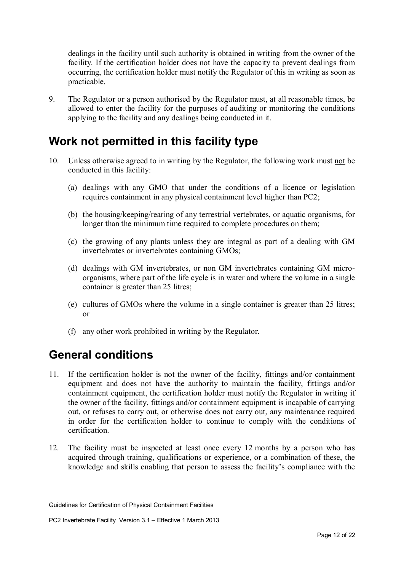dealings in the facility until such authority is obtained in writing from the owner of the facility. If the certification holder does not have the capacity to prevent dealings from occurring, the certification holder must notify the Regulator of this in writing as soon as practicable.

9. The Regulator or a person authorised by the Regulator must, at all reasonable times, be allowed to enter the facility for the purposes of auditing or monitoring the conditions applying to the facility and any dealings being conducted in it.

## **Work not permitted in this facility type**

- 10. Unless otherwise agreed to in writing by the Regulator, the following work must not be conducted in this facility:
	- (a) dealings with any GMO that under the conditions of a licence or legislation requires containment in any physical containment level higher than PC2;
	- (b) the housing/keeping/rearing of any terrestrial vertebrates, or aquatic organisms, for longer than the minimum time required to complete procedures on them;
	- (c) the growing of any plants unless they are integral as part of a dealing with GM invertebrates or invertebrates containing GMOs;
	- (d) dealings with GM invertebrates, or non GM invertebrates containing GM microorganisms, where part of the life cycle is in water and where the volume in a single container is greater than 25 litres;
	- (e) cultures of GMOs where the volume in a single container is greater than 25 litres; or
	- (f) any other work prohibited in writing by the Regulator.

## **General conditions**

- 11. If the certification holder is not the owner of the facility, fittings and/or containment equipment and does not have the authority to maintain the facility, fittings and/or containment equipment, the certification holder must notify the Regulator in writing if the owner of the facility, fittings and/or containment equipment is incapable of carrying out, or refuses to carry out, or otherwise does not carry out, any maintenance required in order for the certification holder to continue to comply with the conditions of certification.
- 12. The facility must be inspected at least once every 12 months by a person who has acquired through training, qualifications or experience, or a combination of these, the knowledge and skills enabling that person to assess the facility's compliance with the

Guidelines for Certification of Physical Containment Facilities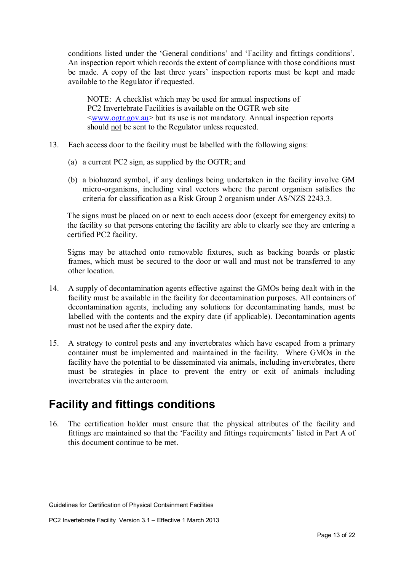conditions listed under the 'General conditions' and 'Facility and fittings conditions'. An inspection report which records the extent of compliance with those conditions must be made. A copy of the last three years' inspection reports must be kept and made available to the Regulator if requested.

NOTE: A checklist which may be used for annual inspections of PC2 Invertebrate Facilities is available on the OGTR web site <www.ogtr.gov.au> but its use is not mandatory. Annual inspection reports should not be sent to the Regulator unless requested.

- 13. Each access door to the facility must be labelled with the following signs:
	- (a) a current PC2 sign, as supplied by the OGTR; and
	- (b) a biohazard symbol, if any dealings being undertaken in the facility involve GM micro-organisms, including viral vectors where the parent organism satisfies the criteria for classification as a Risk Group 2 organism under AS/NZS 2243.3.

The signs must be placed on or next to each access door (except for emergency exits) to the facility so that persons entering the facility are able to clearly see they are entering a certified PC2 facility.

Signs may be attached onto removable fixtures, such as backing boards or plastic frames, which must be secured to the door or wall and must not be transferred to any other location.

- 14. A supply of decontamination agents effective against the GMOs being dealt with in the facility must be available in the facility for decontamination purposes. All containers of decontamination agents, including any solutions for decontaminating hands, must be labelled with the contents and the expiry date (if applicable). Decontamination agents must not be used after the expiry date.
- 15. A strategy to control pests and any invertebrates which have escaped from a primary container must be implemented and maintained in the facility. Where GMOs in the facility have the potential to be disseminated via animals, including invertebrates, there must be strategies in place to prevent the entry or exit of animals including invertebrates via the anteroom.

## **Facility and fittings conditions**

16. The certification holder must ensure that the physical attributes of the facility and fittings are maintained so that the 'Facility and fittings requirements' listed in Part A of this document continue to be met.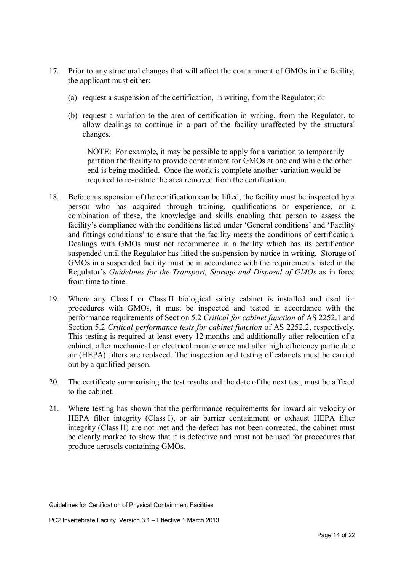- 17. Prior to any structural changes that will affect the containment of GMOs in the facility, the applicant must either:
	- (a) request a suspension of the certification, in writing, from the Regulator; or
	- (b) request a variation to the area of certification in writing, from the Regulator, to allow dealings to continue in a part of the facility unaffected by the structural changes.

NOTE: For example, it may be possible to apply for a variation to temporarily partition the facility to provide containment for GMOs at one end while the other end is being modified. Once the work is complete another variation would be required to re-instate the area removed from the certification.

- 18. Before a suspension of the certification can be lifted, the facility must be inspected by a person who has acquired through training, qualifications or experience, or a combination of these, the knowledge and skills enabling that person to assess the facility's compliance with the conditions listed under 'General conditions' and 'Facility and fittings conditions' to ensure that the facility meets the conditions of certification. Dealings with GMOs must not recommence in a facility which has its certification suspended until the Regulator has lifted the suspension by notice in writing. Storage of GMOs in a suspended facility must be in accordance with the requirements listed in the Regulator's *Guidelines for the Transport, Storage and Disposal of GMOs* as in force from time to time.
- 19. Where any Class I or Class II biological safety cabinet is installed and used for procedures with GMOs, it must be inspected and tested in accordance with the performance requirements of Section 5.2 *Critical for cabinet function* of AS 2252.1 and Section 5.2 *Critical performance tests for cabinet function* of AS 2252.2, respectively. This testing is required at least every 12 months and additionally after relocation of a cabinet, after mechanical or electrical maintenance and after high efficiency particulate air (HEPA) filters are replaced. The inspection and testing of cabinets must be carried out by a qualified person.
- 20. The certificate summarising the test results and the date of the next test, must be affixed to the cabinet.
- 21. Where testing has shown that the performance requirements for inward air velocity or HEPA filter integrity (Class I), or air barrier containment or exhaust HEPA filter integrity (Class II) are not met and the defect has not been corrected, the cabinet must be clearly marked to show that it is defective and must not be used for procedures that produce aerosols containing GMOs.

Guidelines for Certification of Physical Containment Facilities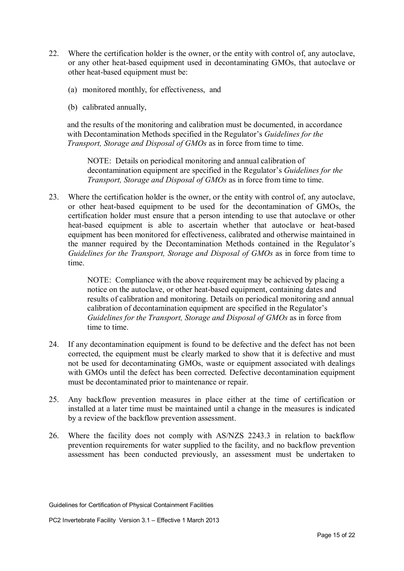- 22. Where the certification holder is the owner, or the entity with control of, any autoclave, or any other heat-based equipment used in decontaminating GMOs, that autoclave or other heat-based equipment must be:
	- (a) monitored monthly, for effectiveness, and
	- (b) calibrated annually,

and the results of the monitoring and calibration must be documented, in accordance with Decontamination Methods specified in the Regulator's *Guidelines for the Transport, Storage and Disposal of GMOs* as in force from time to time.

NOTE: Details on periodical monitoring and annual calibration of decontamination equipment are specified in the Regulator's *Guidelines for the Transport, Storage and Disposal of GMOs* as in force from time to time.

23. Where the certification holder is the owner, or the entity with control of, any autoclave, or other heat-based equipment to be used for the decontamination of GMOs, the certification holder must ensure that a person intending to use that autoclave or other heat-based equipment is able to ascertain whether that autoclave or heat-based equipment has been monitored for effectiveness, calibrated and otherwise maintained in the manner required by the Decontamination Methods contained in the Regulator's *Guidelines for the Transport, Storage and Disposal of GMOs* as in force from time to time.

> NOTE: Compliance with the above requirement may be achieved by placing a notice on the autoclave, or other heat-based equipment, containing dates and results of calibration and monitoring. Details on periodical monitoring and annual calibration of decontamination equipment are specified in the Regulator's *Guidelines for the Transport, Storage and Disposal of GMOs as in force from* time to time.

- 24. If any decontamination equipment is found to be defective and the defect has not been corrected, the equipment must be clearly marked to show that it is defective and must not be used for decontaminating GMOs, waste or equipment associated with dealings with GMOs until the defect has been corrected. Defective decontamination equipment must be decontaminated prior to maintenance or repair.
- 25. Any backflow prevention measures in place either at the time of certification or installed at a later time must be maintained until a change in the measures is indicated by a review of the backflow prevention assessment.
- 26. Where the facility does not comply with AS/NZS 2243.3 in relation to backflow prevention requirements for water supplied to the facility, and no backflow prevention assessment has been conducted previously, an assessment must be undertaken to

Guidelines for Certification of Physical Containment Facilities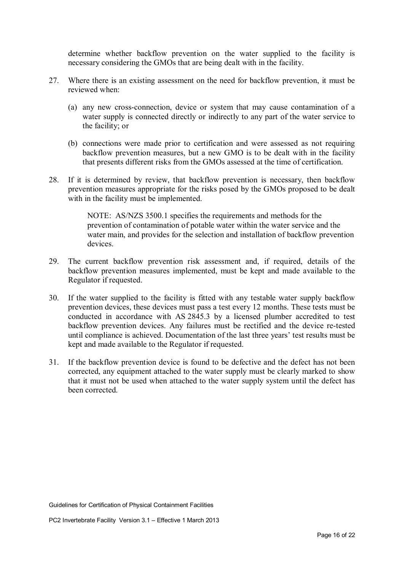determine whether backflow prevention on the water supplied to the facility is necessary considering the GMOs that are being dealt with in the facility.

- 27. Where there is an existing assessment on the need for backflow prevention, it must be reviewed when:
	- (a) any new cross-connection, device or system that may cause contamination of a water supply is connected directly or indirectly to any part of the water service to the facility; or
	- (b) connections were made prior to certification and were assessed as not requiring backflow prevention measures, but a new GMO is to be dealt with in the facility that presents different risks from the GMOs assessed at the time of certification.
- 28. If it is determined by review, that backflow prevention is necessary, then backflow prevention measures appropriate for the risks posed by the GMOs proposed to be dealt with in the facility must be implemented.

NOTE: AS/NZS 3500.1 specifies the requirements and methods for the prevention of contamination of potable water within the water service and the water main, and provides for the selection and installation of backflow prevention devices.

- 29. The current backflow prevention risk assessment and, if required, details of the backflow prevention measures implemented, must be kept and made available to the Regulator if requested.
- 30. If the water supplied to the facility is fitted with any testable water supply backflow prevention devices, these devices must pass a test every 12 months. These tests must be conducted in accordance with AS 2845.3 by a licensed plumber accredited to test backflow prevention devices. Any failures must be rectified and the device re-tested until compliance is achieved. Documentation of the last three years' test results must be kept and made available to the Regulator if requested.
- 31. If the backflow prevention device is found to be defective and the defect has not been corrected, any equipment attached to the water supply must be clearly marked to show that it must not be used when attached to the water supply system until the defect has been corrected.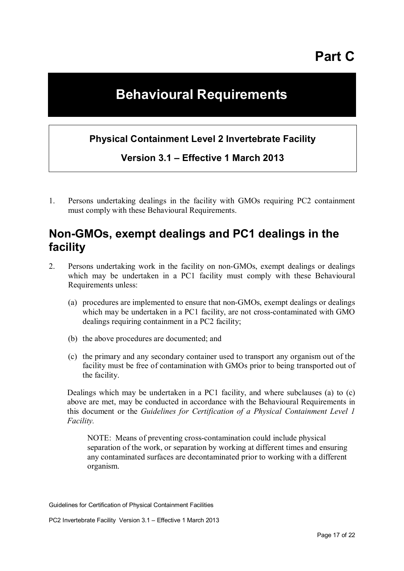# **Part C**

# **Behavioural Requirements**

### **Physical Containment Level 2 Invertebrate Facility**

**Version 3.1 – Effective 1 March 2013** 

1. Persons undertaking dealings in the facility with GMOs requiring PC2 containment must comply with these Behavioural Requirements.

### **Non-GMOs, exempt dealings and PC1 dealings in the facility**

- 2. Persons undertaking work in the facility on non-GMOs, exempt dealings or dealings which may be undertaken in a PC1 facility must comply with these Behavioural Requirements unless:
	- (a) procedures are implemented to ensure that non-GMOs, exempt dealings or dealings which may be undertaken in a PC1 facility, are not cross-contaminated with GMO dealings requiring containment in a PC2 facility;
	- (b) the above procedures are documented; and
	- (c) the primary and any secondary container used to transport any organism out of the facility must be free of contamination with GMOs prior to being transported out of the facility.

Dealings which may be undertaken in a PC1 facility, and where subclauses (a) to (c) above are met, may be conducted in accordance with the Behavioural Requirements in this document or the *Guidelines for Certification of a Physical Containment Level 1 Facility.*

NOTE: Means of preventing cross-contamination could include physical separation of the work, or separation by working at different times and ensuring any contaminated surfaces are decontaminated prior to working with a different organism.

Guidelines for Certification of Physical Containment Facilities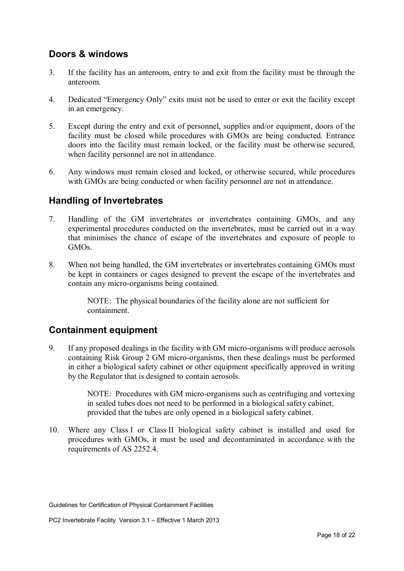#### **Doors & windows**

- 3. If the facility has an anteroom, entry to and exit from the facility must be through the anteroom.
- 4. Dedicated "Emergency Only" exits must not be used to enter or exit the facility except in an emergency.
- 5. Except during the entry and exit of personnel, supplies and/or equipment, doors of the facility must be closed while procedures with GMOs are being conducted. Entrance doors into the facility must remain locked, or the facility must be otherwise secured, when facility personnel are not in attendance.
- 6. Any windows must remain closed and locked, or otherwise secured, while procedures with GMOs are being conducted or when facility personnel are not in attendance.

#### **Handling of Invertebrates**

- 7. Handling of the GM invertebrates or invertebrates containing GMOs, and any experimental procedures conducted on the invertebrates, must be carried out in a way that minimises the chance of escape of the invertebrates and exposure of people to GMOs.
- 8. When not being handled, the GM invertebrates or invertebrates containing GMOs must be kept in containers or cages designed to prevent the escape of the invertebrates and contain any micro-organisms being contained.

NOTE: The physical boundaries of the facility alone are not sufficient for containment.

#### **Containment equipment**

9. If any proposed dealings in the facility with GM micro-organisms will produce aerosols containing Risk Group 2 GM micro-organisms, then these dealings must be performed in either a biological safety cabinet or other equipment specifically approved in writing by the Regulator that is designed to contain aerosols.

> NOTE: Procedures with GM micro-organisms such as centrifuging and vortexing in sealed tubes does not need to be performed in a biological safety cabinet, provided that the tubes are only opened in a biological safety cabinet.

10. Where any Class I or Class II biological safety cabinet is installed and used for procedures with GMOs, it must be used and decontaminated in accordance with the requirements of AS 2252.4.

Guidelines for Certification of Physical Containment Facilities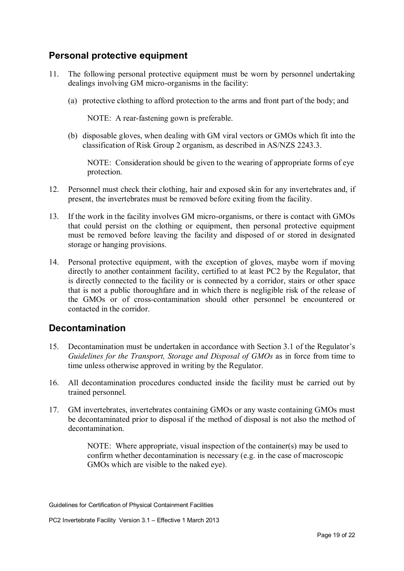### **Personal protective equipment**

- 11. The following personal protective equipment must be worn by personnel undertaking dealings involving GM micro-organisms in the facility:
	- (a) protective clothing to afford protection to the arms and front part of the body; and

NOTE: A rear-fastening gown is preferable.

(b) disposable gloves, when dealing with GM viral vectors or GMOs which fit into the classification of Risk Group 2 organism, as described in AS/NZS 2243.3.

NOTE: Consideration should be given to the wearing of appropriate forms of eye protection.

- 12. Personnel must check their clothing, hair and exposed skin for any invertebrates and, if present, the invertebrates must be removed before exiting from the facility.
- 13. If the work in the facility involves GM micro-organisms, or there is contact with GMOs that could persist on the clothing or equipment, then personal protective equipment must be removed before leaving the facility and disposed of or stored in designated storage or hanging provisions.
- 14. Personal protective equipment, with the exception of gloves, maybe worn if moving directly to another containment facility, certified to at least PC2 by the Regulator, that is directly connected to the facility or is connected by a corridor, stairs or other space that is not a public thoroughfare and in which there is negligible risk of the release of the GMOs or of cross-contamination should other personnel be encountered or contacted in the corridor.

#### **Decontamination**

- 15. Decontamination must be undertaken in accordance with Section 3.1 of the Regulator's *Guidelines for the Transport, Storage and Disposal of GMOs* as in force from time to time unless otherwise approved in writing by the Regulator.
- 16. All decontamination procedures conducted inside the facility must be carried out by trained personnel.
- 17. GM invertebrates, invertebrates containing GMOs or any waste containing GMOs must be decontaminated prior to disposal if the method of disposal is not also the method of decontamination.

NOTE: Where appropriate, visual inspection of the container(s) may be used to confirm whether decontamination is necessary (e.g. in the case of macroscopic GMOs which are visible to the naked eye).

Guidelines for Certification of Physical Containment Facilities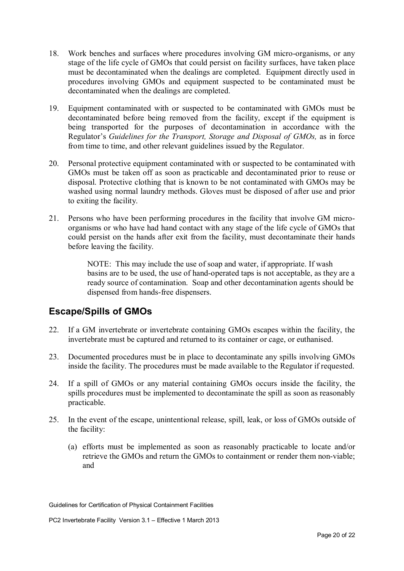- 18. Work benches and surfaces where procedures involving GM micro-organisms, or any stage of the life cycle of GMOs that could persist on facility surfaces, have taken place must be decontaminated when the dealings are completed. Equipment directly used in procedures involving GMOs and equipment suspected to be contaminated must be decontaminated when the dealings are completed.
- 19. Equipment contaminated with or suspected to be contaminated with GMOs must be decontaminated before being removed from the facility, except if the equipment is being transported for the purposes of decontamination in accordance with the Regulator's *Guidelines for the Transport, Storage and Disposal of GMOs,* as in force from time to time, and other relevant guidelines issued by the Regulator.
- 20. Personal protective equipment contaminated with or suspected to be contaminated with GMOs must be taken off as soon as practicable and decontaminated prior to reuse or disposal. Protective clothing that is known to be not contaminated with GMOs may be washed using normal laundry methods. Gloves must be disposed of after use and prior to exiting the facility.
- 21. Persons who have been performing procedures in the facility that involve GM microorganisms or who have had hand contact with any stage of the life cycle of GMOs that could persist on the hands after exit from the facility, must decontaminate their hands before leaving the facility.

NOTE: This may include the use of soap and water, if appropriate. If wash basins are to be used, the use of hand-operated taps is not acceptable, as they are a ready source of contamination. Soap and other decontamination agents should be dispensed from hands-free dispensers.

### **Escape/Spills of GMOs**

- 22. If a GM invertebrate or invertebrate containing GMOs escapes within the facility, the invertebrate must be captured and returned to its container or cage, or euthanised.
- 23. Documented procedures must be in place to decontaminate any spills involving GMOs inside the facility. The procedures must be made available to the Regulator if requested.
- 24. If a spill of GMOs or any material containing GMOs occurs inside the facility, the spills procedures must be implemented to decontaminate the spill as soon as reasonably practicable.
- 25. In the event of the escape, unintentional release, spill, leak, or loss of GMOs outside of the facility:
	- (a) efforts must be implemented as soon as reasonably practicable to locate and/or retrieve the GMOs and return the GMOs to containment or render them non-viable; and

Guidelines for Certification of Physical Containment Facilities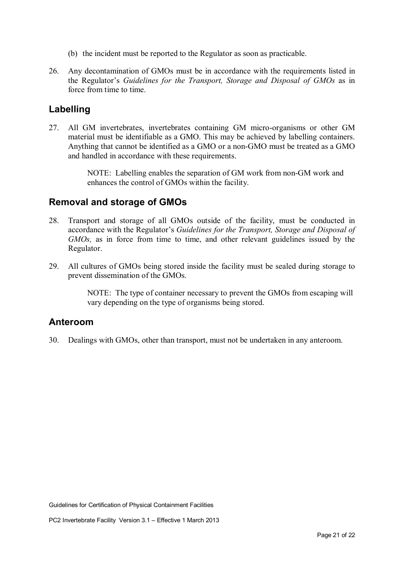- (b) the incident must be reported to the Regulator as soon as practicable.
- 26. Any decontamination of GMOs must be in accordance with the requirements listed in the Regulator's *Guidelines for the Transport, Storage and Disposal of GMOs* as in force from time to time.

#### **Labelling**

27. All GM invertebrates, invertebrates containing GM micro-organisms or other GM material must be identifiable as a GMO. This may be achieved by labelling containers. Anything that cannot be identified as a GMO or a non-GMO must be treated as a GMO and handled in accordance with these requirements.

> NOTE: Labelling enables the separation of GM work from non-GM work and enhances the control of GMOs within the facility.

#### **Removal and storage of GMOs**

- 28. Transport and storage of all GMOs outside of the facility, must be conducted in accordance with the Regulator's *Guidelines for the Transport, Storage and Disposal of GMOs,* as in force from time to time, and other relevant guidelines issued by the Regulator.
- 29. All cultures of GMOs being stored inside the facility must be sealed during storage to prevent dissemination of the GMOs.

NOTE: The type of container necessary to prevent the GMOs from escaping will vary depending on the type of organisms being stored.

#### **Anteroom**

30. Dealings with GMOs, other than transport, must not be undertaken in any anteroom.